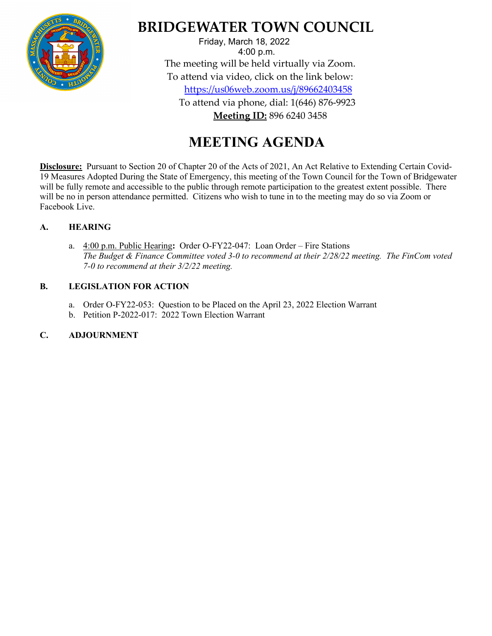

# **BRIDGEWATER TOWN COUNCIL**

Friday, March 18, 2022 4:00 p.m. The meeting will be held virtually via Zoom. To attend via video, click on the link below: <https://us06web.zoom.us/j/89662403458> To attend via phone, dial: 1(646) 876-9923 **Meeting ID:** 896 6240 3458

# **MEETING AGENDA**

**Disclosure:** Pursuant to Section 20 of Chapter 20 of the Acts of 2021, An Act Relative to Extending Certain Covid-19 Measures Adopted During the State of Emergency, this meeting of the Town Council for the Town of Bridgewater will be fully remote and accessible to the public through remote participation to the greatest extent possible. There will be no in person attendance permitted. Citizens who wish to tune in to the meeting may do so via Zoom or Facebook Live.

## **A. HEARING**

a. 4:00 p.m. Public Hearing**:** Order O-FY22-047: Loan Order – Fire Stations *The Budget & Finance Committee voted 3-0 to recommend at their 2/28/22 meeting. The FinCom voted 7-0 to recommend at their 3/2/22 meeting.*

### **B. LEGISLATION FOR ACTION**

- a. Order O-FY22-053: Question to be Placed on the April 23, 2022 Election Warrant
- b. Petition P-2022-017: 2022 Town Election Warrant

## **C. ADJOURNMENT**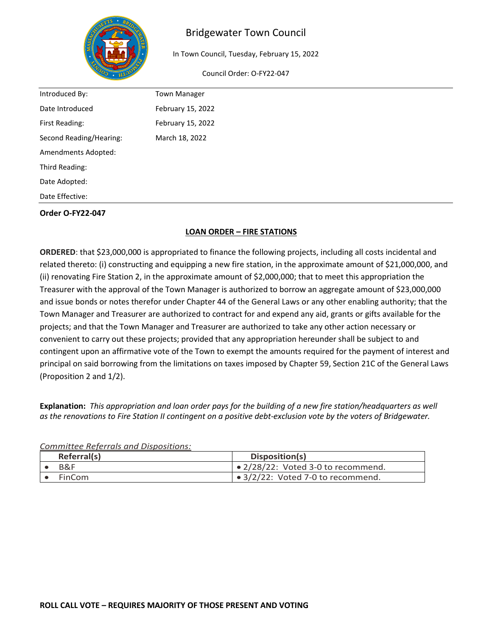

# Bridgewater Town Council

In Town Council, Tuesday, February 15, 2022

Council Order: O-FY22-047

| Introduced By:          | <b>Town Manager</b> |
|-------------------------|---------------------|
| Date Introduced         | February 15, 2022   |
| First Reading:          | February 15, 2022   |
| Second Reading/Hearing: | March 18, 2022      |
| Amendments Adopted:     |                     |
| Third Reading:          |                     |
| Date Adopted:           |                     |
| Date Effective:         |                     |
|                         |                     |

#### **Order O-FY22-047**

#### **LOAN ORDER – FIRE STATIONS**

**ORDERED**: that \$23,000,000 is appropriated to finance the following projects, including all costs incidental and related thereto: (i) constructing and equipping a new fire station, in the approximate amount of \$21,000,000, and (ii) renovating Fire Station 2, in the approximate amount of \$2,000,000; that to meet this appropriation the Treasurer with the approval of the Town Manager is authorized to borrow an aggregate amount of \$23,000,000 and issue bonds or notes therefor under Chapter 44 of the General Laws or any other enabling authority; that the Town Manager and Treasurer are authorized to contract for and expend any aid, grants or gifts available for the projects; and that the Town Manager and Treasurer are authorized to take any other action necessary or convenient to carry out these projects; provided that any appropriation hereunder shall be subject to and contingent upon an affirmative vote of the Town to exempt the amounts required for the payment of interest and principal on said borrowing from the limitations on taxes imposed by Chapter 59, Section 21C of the General Laws (Proposition 2 and 1/2).

**Explanation:** *This appropriation and loan order pays for the building of a new fire station/headquarters as well as the renovations to Fire Station II contingent on a positive debt-exclusion vote by the voters of Bridgewater.*

*Committee Referrals and Dispositions:*

| Referral(s) | Disposition(s)                                       |
|-------------|------------------------------------------------------|
| B&F         | $\bullet$ 2/28/22: Voted 3-0 to recommend.           |
| FinCom      | $\sqrt{9}$ $\bullet$ 3/2/22: Voted 7-0 to recommend. |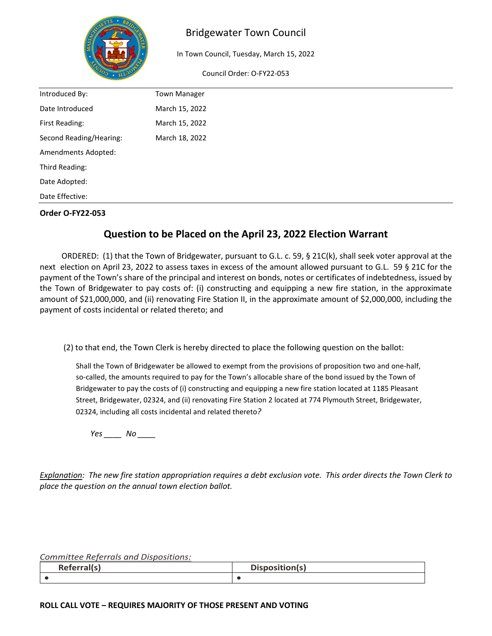

## Bridgewater Town Council

In Town Council, Tuesday, March 15, 2022

Council Order: O-FY22-053

| Introduced By:          | <b>Town Manager</b> |  |  |
|-------------------------|---------------------|--|--|
| Date Introduced         | March 15, 2022      |  |  |
| First Reading:          | March 15, 2022      |  |  |
| Second Reading/Hearing: | March 18, 2022      |  |  |
| Amendments Adopted:     |                     |  |  |
| Third Reading:          |                     |  |  |
| Date Adopted:           |                     |  |  |
| Date Effective:         |                     |  |  |
|                         |                     |  |  |

#### **Order O-FY22-053**

## **Question to be Placed on the April 23, 2022 Election Warrant**

ORDERED: (1) that the Town of Bridgewater, pursuant to G.L. c. 59, § 21C(k), shall seek voter approval at the next election on April 23, 2022 to assess taxes in excess of the amount allowed pursuant to G.L. 59 § 21C for the payment of the Town's share of the principal and interest on bonds, notes or certificates of indebtedness, issued by the Town of Bridgewater to pay costs of: (i) constructing and equipping a new fire station, in the approximate amount of \$21,000,000, and (ii) renovating Fire Station II, in the approximate amount of \$2,000,000, including the payment of costs incidental or related thereto; and

(2) to that end, the Town Clerk is hereby directed to place the following question on the ballot:

Shall the Town of Bridgewater be allowed to exempt from the provisions of proposition two and one-half, so-called, the amounts required to pay for the Town's allocable share of the bond issued by the Town of Bridgewater to pay the costs of (i) constructing and equipping a new fire station located at 1185 Pleasant Street, Bridgewater, 02324, and (ii) renovating Fire Station 2 located at 774 Plymouth Street, Bridgewater, 02324, including all costs incidental and related thereto*?*

*Yes \_\_\_\_ No \_\_\_\_*

*Explanation: The new fire station appropriation requires a debt exclusion vote. This order directs the Town Clerk to place the question on the annual town election ballot.* 

*Committee Referrals and Dispositions:*

| Referra<br>. | Disposition(s) |
|--------------|----------------|
|              |                |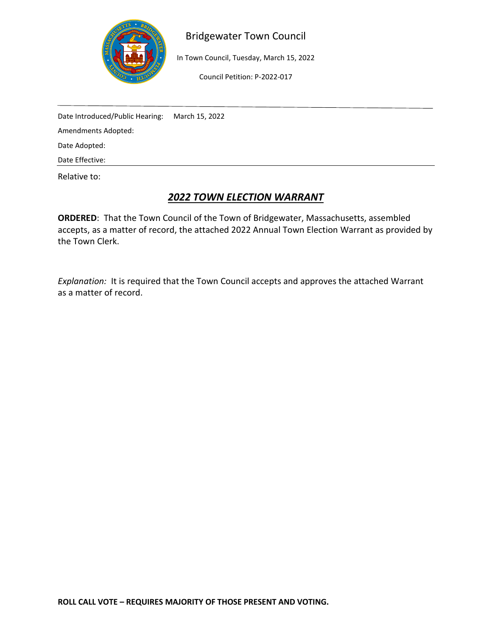

## Bridgewater Town Council

In Town Council, Tuesday, March 15, 2022

Council Petition: P-2022-017

Date Introduced/Public Hearing: March 15, 2022

Amendments Adopted:

Date Adopted:

Date Effective:

Relative to:

# *2022 TOWN ELECTION WARRANT*

**ORDERED**: That the Town Council of the Town of Bridgewater, Massachusetts, assembled accepts, as a matter of record, the attached 2022 Annual Town Election Warrant as provided by the Town Clerk.

*Explanation:* It is required that the Town Council accepts and approves the attached Warrant as a matter of record.